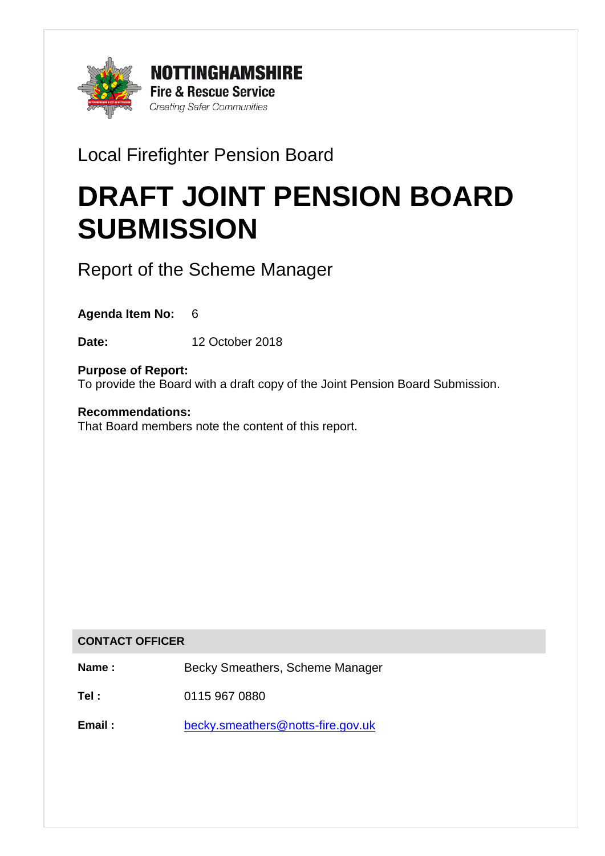

# Local Firefighter Pension Board

# DRAFT JOINT PENSION BOARD **SUBMISSION**

Report of the Scheme Manager

**Agenda Item No:** 6

**Date:** 12 October 2018

**Purpose of Report:** To provide the Board with a draft copy of the Joint Pension Board Submission.

**Recommendations:** That Board members note the content of this report.

## **CONTACT OFFICER**

**Name :** Becky Smeathers, Scheme Manager

**Tel :** 0115 967 0880

**Email :** [becky.smeathers@notts-fire.gov.uk](mailto:becky.smeathers@notts-fire.gov.uk)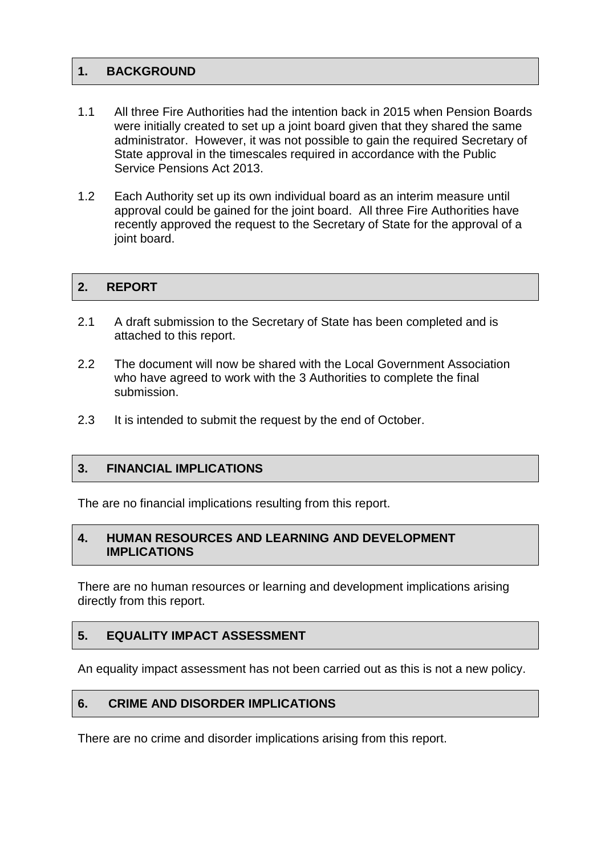#### **1. BACKGROUND**

- 1.1 All three Fire Authorities had the intention back in 2015 when Pension Boards were initially created to set up a joint board given that they shared the same administrator. However, it was not possible to gain the required Secretary of State approval in the timescales required in accordance with the Public Service Pensions Act 2013.
- 1.2 Each Authority set up its own individual board as an interim measure until approval could be gained for the joint board. All three Fire Authorities have recently approved the request to the Secretary of State for the approval of a joint board.

#### 2. REPORT

- 2.1 A draft submission to the Secretary of State has been completed and is attached to this report.
- 2.2 The document will now be shared with the Local Government Association who have agreed to work with the 3 Authorities to complete the final submission.
- 2.3 It is intended to submit the request by the end of October.

#### **3. FINANCIAL IMPLICATIONS**

The are no financial implications resulting from this report.

#### **4. HUMAN RESOURCES AND LEARNING AND DEVELOPMENT IMPLICATIONS**

There are no human resources or learning and development implications arising directly from this report.

#### **5. EQUALITY IMPACT ASSESSMENT**

An equality impact assessment has not been carried out as this is not a new policy.

#### **6. CRIME AND DISORDER IMPLICATIONS**

There are no crime and disorder implications arising from this report.